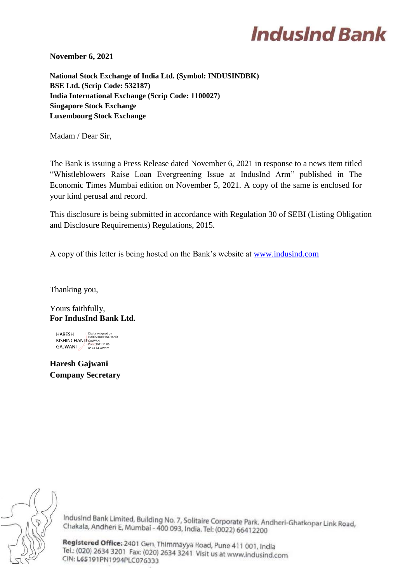# **IndusInd Bank**

**November 6, 2021**

**National Stock Exchange of India Ltd. (Symbol: INDUSINDBK) BSE Ltd. (Scrip Code: 532187) India International Exchange (Scrip Code: 1100027) Singapore Stock Exchange Luxembourg Stock Exchange**

Madam / Dear Sir,

The Bank is issuing a Press Release dated November 6, 2021 in response to a news item titled "Whistleblowers Raise Loan Evergreening Issue at IndusInd Arm" published in The Economic Times Mumbai edition on November 5, 2021. A copy of the same is enclosed for your kind perusal and record.

This disclosure is being submitted in accordance with Regulation 30 of SEBI (Listing Obligation and Disclosure Requirements) Regulations, 2015.

A copy of this letter is being hosted on the Bank's website at [www.indusind.com](http://www.indusind.com/)

Thanking you,

Yours faithfully, **For IndusInd Bank Ltd.**

HARESH KISHINCHAND GAJWANI Digitally signed by HARESH KISHINCHAND GAJWANI Date: 2021.11.06  $00:45:24 + 05'30$ 

**Haresh Gajwani Company Secretary**



IndusInd Bank Limited, Building No. 7, Solitaire Corporate Park, Andheri-Ghatkopar Link Road, Chakala, Andheri E, Mumbai - 400 093, India. Tel: (0022) 66412200

Registered Office: 2401 Gen. Thimmayya Road, Pune 411 001, India Tel.: (020) 2634 3201 Fax: (020) 2634 3241 Visit us at www.indusind.com CIN: L65191PN1994PLC076333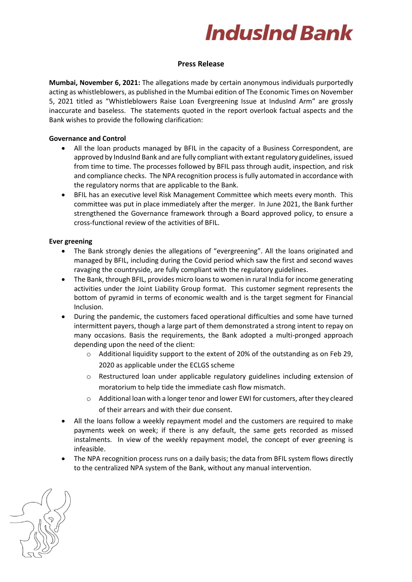# **IndusInd Bank**

## **Press Release**

**Mumbai, November 6, 2021:** The allegations made by certain anonymous individuals purportedly acting as whistleblowers, as published in the Mumbai edition of The Economic Times on November 5, 2021 titled as "Whistleblowers Raise Loan Evergreening Issue at IndusInd Arm" are grossly inaccurate and baseless. The statements quoted in the report overlook factual aspects and the Bank wishes to provide the following clarification:

## **Governance and Control**

- All the loan products managed by BFIL in the capacity of a Business Correspondent, are approved by IndusInd Bank and are fully compliant with extant regulatory guidelines, issued from time to time. The processes followed by BFIL pass through audit, inspection, and risk and compliance checks. The NPA recognition process is fully automated in accordance with the regulatory norms that are applicable to the Bank.
- BFIL has an executive level Risk Management Committee which meets every month. This committee was put in place immediately after the merger. In June 2021, the Bank further strengthened the Governance framework through a Board approved policy, to ensure a cross-functional review of the activities of BFIL.

# **Ever greening**

- The Bank strongly denies the allegations of "evergreening". All the loans originated and managed by BFIL, including during the Covid period which saw the first and second waves ravaging the countryside, are fully compliant with the regulatory guidelines.
- The Bank, through BFIL, provides micro loans to women in rural India for income generating activities under the Joint Liability Group format. This customer segment represents the bottom of pyramid in terms of economic wealth and is the target segment for Financial Inclusion.
- During the pandemic, the customers faced operational difficulties and some have turned intermittent payers, though a large part of them demonstrated a strong intent to repay on many occasions. Basis the requirements, the Bank adopted a multi-pronged approach depending upon the need of the client:
	- o Additional liquidity support to the extent of 20% of the outstanding as on Feb 29, 2020 as applicable under the ECLGS scheme
	- o Restructured loan under applicable regulatory guidelines including extension of moratorium to help tide the immediate cash flow mismatch.
	- o Additional loan with a longer tenor and lower EWI for customers, after they cleared of their arrears and with their due consent.
- All the loans follow a weekly repayment model and the customers are required to make payments week on week; if there is any default, the same gets recorded as missed instalments. In view of the weekly repayment model, the concept of ever greening is infeasible.
- The NPA recognition process runs on a daily basis; the data from BFIL system flows directly to the centralized NPA system of the Bank, without any manual intervention.

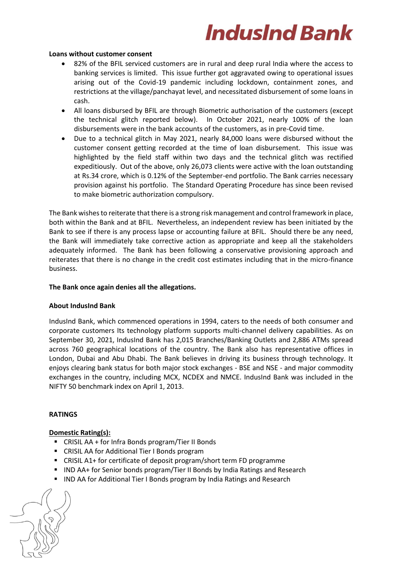# **IndusInd Bank**

#### **Loans without customer consent**

- 82% of the BFIL serviced customers are in rural and deep rural India where the access to banking services is limited. This issue further got aggravated owing to operational issues arising out of the Covid-19 pandemic including lockdown, containment zones, and restrictions at the village/panchayat level, and necessitated disbursement of some loans in cash.
- All loans disbursed by BFIL are through Biometric authorisation of the customers (except the technical glitch reported below). In October 2021, nearly 100% of the loan disbursements were in the bank accounts of the customers, as in pre-Covid time.
- Due to a technical glitch in May 2021, nearly 84,000 loans were disbursed without the customer consent getting recorded at the time of loan disbursement. This issue was highlighted by the field staff within two days and the technical glitch was rectified expeditiously. Out of the above, only 26,073 clients were active with the loan outstanding at Rs.34 crore, which is 0.12% of the September-end portfolio. The Bank carries necessary provision against his portfolio. The Standard Operating Procedure has since been revised to make biometric authorization compulsory.

The Bank wishes to reiterate that there is a strong risk management and control framework in place, both within the Bank and at BFIL. Nevertheless, an independent review has been initiated by the Bank to see if there is any process lapse or accounting failure at BFIL. Should there be any need, the Bank will immediately take corrective action as appropriate and keep all the stakeholders adequately informed. The Bank has been following a conservative provisioning approach and reiterates that there is no change in the credit cost estimates including that in the micro-finance business.

## **The Bank once again denies all the allegations.**

### **About IndusInd Bank**

IndusInd Bank, which commenced operations in 1994, caters to the needs of both consumer and corporate customers Its technology platform supports multi-channel delivery capabilities. As on September 30, 2021, IndusInd Bank has 2,015 Branches/Banking Outlets and 2,886 ATMs spread across 760 geographical locations of the country. The Bank also has representative offices in London, Dubai and Abu Dhabi. The Bank believes in driving its business through technology. It enjoys clearing bank status for both major stock exchanges - BSE and NSE - and major commodity exchanges in the country, including MCX, NCDEX and NMCE. IndusInd Bank was included in the NIFTY 50 benchmark index on April 1, 2013.

# **RATINGS**

# **Domestic Rating(s):**

- CRISIL AA + for Infra Bonds program/Tier II Bonds
- CRISIL AA for Additional Tier I Bonds program
- CRISIL A1+ for certificate of deposit program/short term FD programme
- IND AA+ for Senior bonds program/Tier II Bonds by India Ratings and Research
- IND AA for Additional Tier I Bonds program by India Ratings and Research